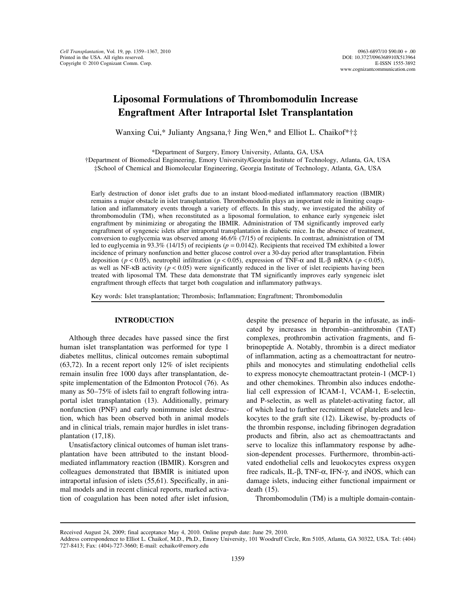## **Liposomal Formulations of Thrombomodulin Increase Engraftment After Intraportal Islet Transplantation**

Wanxing Cui,\* Julianty Angsana,† Jing Wen,\* and Elliot L. Chaikof\*†‡

\*Department of Surgery, Emory University, Atlanta, GA, USA

†Department of Biomedical Engineering, Emory University/Georgia Institute of Technology, Atlanta, GA, USA ‡School of Chemical and Biomolecular Engineering, Georgia Institute of Technology, Atlanta, GA, USA

Early destruction of donor islet grafts due to an instant blood-mediated inflammatory reaction (IBMIR) remains a major obstacle in islet transplantation. Thrombomodulin plays an important role in limiting coagulation and inflammatory events through a variety of effects. In this study, we investigated the ability of thrombomodulin (TM), when reconstituted as a liposomal formulation, to enhance early syngeneic islet engraftment by minimizing or abrogating the IBMIR. Administration of TM significantly improved early engraftment of syngeneic islets after intraportal transplantation in diabetic mice. In the absence of treatment, conversion to euglycemia was observed among 46.6% (7/15) of recipients. In contrast, administration of TM led to euglycemia in 93.3% (14/15) of recipients (*p* = 0.0142). Recipients that received TM exhibited a lower incidence of primary nonfunction and better glucose control over a 30-day period after transplantation. Fibrin deposition (*p* < 0.05), neutrophil infiltration (*p* < 0.05), expression of TNF-α and IL-β mRNA (*p* < 0.05), as well as NF-κB activity (*p* < 0.05) were significantly reduced in the liver of islet recipients having been treated with liposomal TM. These data demonstrate that TM significantly improves early syngeneic islet engraftment through effects that target both coagulation and inflammatory pathways.

Key words: Islet transplantation; Thrombosis; Inflammation; Engraftment; Thrombomodulin

human islet transplantation was performed for type 1 brinopeptide A. Notably, thrombin is a direct mediator diabetes mellitus, clinical outcomes remain suboptimal of inflammation, acting as a chemoattractant for neutro- (63,72). In a recent report only 12% of islet recipients phils and monocytes and stimulating endothelial cells remain insulin free 1000 days after transplantation, de-<br>to express monocyte chemoattractant protein-1 (MCP-1) spite implementation of the Edmonton Protocol (76). As and other chemokines. Thrombin also induces endothemany as 50–75% of islets fail to engraft following intra- lial cell expression of ICAM-1, VCAM-1, E-selectin, portal islet transplantation (13). Additionally, primary and P-selectin, as well as platelet-activating factor, all nonfunction (PNF) and early nonimmune islet destruc- of which lead to further recruitment of platelets and leution, which has been observed both in animal models kocytes to the graft site (12). Likewise, by-products of and in clinical trials, remain major hurdles in islet trans- the thrombin response, including fibrinogen degradation plantation (17,18). products and fibrin, also act as chemoattractants and

plantation have been attributed to the instant blood- sion-dependent processes. Furthermore, thrombin-actimediated inflammatory reaction (IBMIR). Korsgren and vated endothelial cells and leuokocytes express oxygen colleagues demonstrated that IBMIR is initiated upon free radicals, IL-β, TNF- $\alpha$ , IFN- $\gamma$ , and iNOS, which can intraportal infusion of islets (55,61). Specifically, in ani- damage islets, inducing either functional impairment or mal models and in recent clinical reports, marked activa- death (15). tion of coagulation has been noted after islet infusion, Thrombomodulin (TM) is a multiple domain-contain-

**INTRODUCTION** despite the presence of heparin in the infusate, as indicated by increases in thrombin–antithrombin (TAT) Although three decades have passed since the first complexes, prothrombin activation fragments, and fi-Unsatisfactory clinical outcomes of human islet trans-<br>serve to localize this inflammatory response by adhe-

Received August 24, 2009; final acceptance May 4, 2010. Online prepub date: June 29, 2010.

Address correspondence to Elliot L. Chaikof, M.D., Ph.D., Emory University, 101 Woodruff Circle, Rm 5105, Atlanta, GA 30322, USA. Tel: (404) 727-8413; Fax: (404)-727-3660; E-mail: echaiko@emory.edu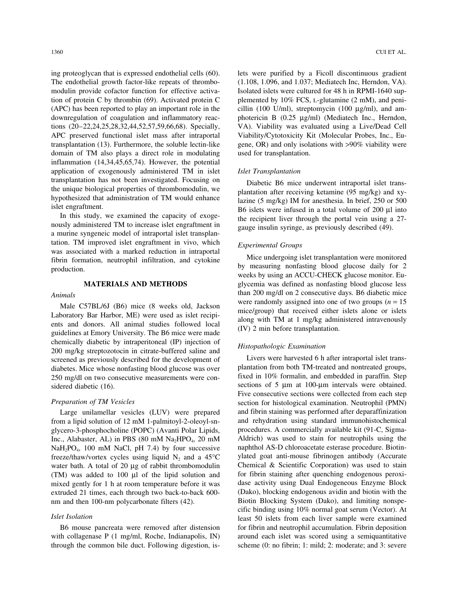ing proteoglycan that is expressed endothelial cells (60). lets were purified by a Ficoll discontinuous gradient The endothelial growth factor-like repeats of thrombo- (1.108, 1.096, and 1.037; Mediatech Inc, Herndon, VA). modulin provide cofactor function for effective activa-<br>Isolated islets were cultured for 48 h in RPMI-1640 suption of protein C by thrombin (69). Activated protein C plemented by  $10\%$  FCS, L-glutamine (2 mM), and peni-(APC) has been reported to play an important role in the cillin (100 U/ml), streptomycin (100 µg/ml), and amdownregulation of coagulation and inflammatory reac- photericin B (0.25 µg/ml) (Mediatech Inc., Herndon, tions (20–22,24,25,28,32,44,52,57,59,66,68). Specially, VA). Viability was evaluated using a Live/Dead Cell APC preserved functional islet mass after intraportal Viability/Cytotoxicity Kit (Molecular Probes, Inc., Eutransplantation (13). Furthermore, the soluble lectin-like gene, OR) and only isolations with >90% viability were domain of TM also plays a direct role in modulating used for transplantation. inflammation (14,34,45,65,74). However, the potential application of exogenously administered TM in islet *Islet Transplantation*

tation. TM improved islet engraftment in vivo, which<br>was associated with a marked reduction in intraportal<br>fibrin formation, neutrophil infiltration, and cytokine<br>production.<br>production.<br>weeks by using an ACCU-CHECK glucos

chemically diabetic by intraperitoneal (IP) injection of<br>
200 mg/kg streptozotocin in citrate-buffered saline and<br>
screened as previously described for the development of<br>
Livers were harvested 6 h after intraportal islet screened as previously described for the development of Livers were harvested 6 h after intraportal islet trans-<br>diabetes. Mice whose nonfasting blood glucose was over<br>plantation from both TM-treated and nontreated groups, 250 mg/dl on two consecutive measurements were considered diabetic (16). sections of 5 µm at 100-µm intervals were obtained.

from a lipid solution of 12 mM 1-palmitoyl-2-oleoyl-sn- and rehydration using standard immunohistochemical glycero-3-phosphocholine (POPC) (Avanti Polar Lipids, procedures. A commercially available kit (91-C, Sigma-Inc., Alabaster, AL) in PBS (80 mM Na<sub>2</sub>HPO<sub>4</sub>, 20 mM Aldrich) was used to stain for neutrophils using the NaH<sub>2</sub>PO<sub>4</sub>, 100 mM NaCl, pH 7.4) by four successive naphthol AS-D chloroacetate esterase procedure. Biotin- $NaH<sub>2</sub>PO<sub>4</sub>$ , 100 mM NaCl, pH 7.4) by four successive applied AS-D chloroacetate esterase procedure. Biotin-<br>freeze/thaw/vortex cycles using liquid N<sub>2</sub> and a 45<sup>o</sup>C ylated goat anti-mouse fibrinogen antibody (Accu freeze/thaw/vortex cycles using liquid  $N_2$  and a 45°C ylated goat anti-mouse fibrinogen antibody (Accurate water bath. A total of 20 ug of rabbit thrombomodulin Chemical & Scientific Corporation) was used to stain water bath. A total of 20  $\mu$ g of rabbit thrombomodulin (TM) was added to 100  $\mu$ l of the lipid solution and for fibrin staining after quenching endogenous peroxi-<br>mixed gently for 1 h at room temperature before it was dase activity using Dual Endogeneous Enzyme Block mixed gently for 1 h at room temperature before it was dase activity using Dual Endogeneous Enzyme Block extruded 21 times, each through two back-to-back 600- (Dako), blocking endogenous avidin and biotin with the extruded 21 times, each through two back-to-back 600nm and then 100-nm polycarbonate filters (42). Biotin Blocking System (Dako), and limiting nonspe-

through the common bile duct. Following digestion, is- scheme (0: no fibrin; 1: mild; 2: moderate; and 3: severe

transplantation has not been investigated. Focusing on<br>the unique biological properties of thrombomodulin, we<br>hypothesized that administration of TM would enhance<br>islet engraftment.<br>B6 islets were infused in a total volum Isiet engratment.<br>
In this study, we examined the capacity of exoge-<br>
nously administered TM to increase islet engraftment in<br>
a murine syngeneic model of intraportal islet transplan-<br>
a murine syngeneic model of intraport

**MATERIALS AND METHODS** glycemia was defined as nonfasting blood glucose less Animals<br>than 200 mg/dl on 2 consecutive days. B6 diabetic mice<br>were randomly assigned into one of two groups (n = 15<br>Animals Male C57BL/6J (B6) mice (8 weeks old, Jackson<br>Laboratory Bar Harbor, ME) were used as islet recipi-<br>ents and donors. All animal studies followed local<br>guidelines at Emory University. The B6 mice were made<br>guidelines at Em

diabetes. Mice whose nonfasting blood glucose was over<br>250 ms/dl on two consecutive measurements were con-<br>250 ms/dl on two consecutive measurements were con-<br>250 ms/dl on two consecutive measurements were con-Five consecutive sections were collected from each step *Preparation of TM Vesicles* section for histological examination. Neutrophil (PMN) Large unilamellar vesicles (LUV) were prepared and fibrin staining was performed after deparaffinization cific binding using 10% normal goat serum (Vector). At *Islet Isolation* least 50 islets from each liver sample were examined B6 mouse pancreata were removed after distension for fibrin and neutrophil accumulation. Fibrin deposition with collagenase P (1 mg/ml, Roche, Indianapolis, IN) around each islet was scored using a semiquantitative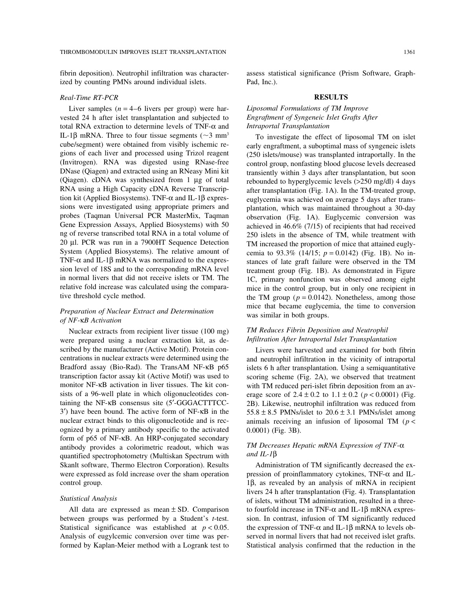ized by counting PMNs around individual islets. Pad, Inc.).

## *Real-Time RT-PCR* **RESULTS**

Liver samples (*n* = 4–6 livers per group) were har- *Liposomal Formulations of TM Improve* vested 24 h after islet transplantation and subjected to *Engraftment of Syngeneic Islet Grafts After* total RNA extraction to determine levels of TNF-α and *Intraportal Transplantation* IL-1β mRNA. Three to four tissue segments ( $\sim$ 3 mm<sup>3</sup> To investigate the effect of liposomal TM on islet cube/segment) were obtained from visibly ischemic re-<br>early engraftment a subontimal mass of syngeneic islets

were prepared using a nuclear extraction kit, as described by the manufacturer (Active Motif). Protein con- Livers were harvested and examined for both fibrin ognized by a primary antibody specific to the activated 0.0001) (Fig. 3B). form of p65 of NF-κB. An HRP-conjugated secondary antibody provides a colorimetric readout, which was *TM Decreases Hepatic mRNA Expression of TNF-*α quantified spectrophotometry (Multiskan Spectrum with *and IL-1*β Skanlt software, Thermo Electron Corporation). Results Administration of TM significantly decreased the ex-

between groups was performed by a Student's *t*-test. sion. In contrast, infusion of TM significantly reduced Statistical significance was established at  $p < 0.05$ . the expression of TNF- $\alpha$  and IL-1 $\beta$  mRNA to levels ob-Analysis of eugylcemic conversion over time was per- served in normal livers that had not received islet grafts. formed by Kaplan-Meier method with a Logrank test to Statistical analysis confirmed that the reduction in the

fibrin deposition). Neutrophil infiltration was character- assess statistical significance (Prism Software, Graph-

cube/segment) were obtained from visibly ischemic re-<br>gions of each liver and processed using Trizol reagent (250 islets/mouse) was transplanted intraportally. In the gions of each liver and processed using Trizol reagent (250 islets/mouse) was transplanted intraportally. In the (Invitrogen). RNA was digested using RNase-free control group, nonfasting blood glucose levels decreased (Invitrogen). RNA was digested using RNase-free control group, nonfasting blood glucose levels decreased<br>DNase (Qiagen) and extracted using an RNeasy Mini kit ransiently within 3 days after transplantation but soon transiently within 3 days after transplantation, but soon (Qiagen). cDNA was synthesized from 1 µg of total rebounded to hyperglycemic levels (>250 mg/dl) 4 days RNA using a High Capacity cDNA Reverse Transcrip-<br>tion kit (Applied Biosystems). TNF- $\alpha$  and IL-1 $\beta$  expres-<br>euglycemia was achieved on average 5 days after transtion kit (Applied Biosystems). TNF-α and IL-1β expres-<br>sions were investigated using appropriate primers and a plantation, which was maintained throughout a 30-day sions were investigated using appropriate primers and plantation, which was maintained throughout a 30-day<br>probes (Taqman Universal PCR MasterMix, Taqman conservation (Fig. 1A). Euglycemic conversion was probes (Taqman Universal PCR MasterMix, Taqman observation (Fig. 1A). Euglycemic conversion was<br>Gene Expression Assays, Applied Biosystems) with 50 achieved in 46.6% (7/15) of recipients that had received Gene Expression Assays, Applied Biosystems) with 50 achieved in 46.6% (7/15) of recipients that had received ng of reverse transcribed total RNA in a total volume of 250 islets in the absence of TM, while treatment with 250 islets in the absence of TM, while treatment with 20 µl. PCR was run in a 7900HT Sequence Detection TM increased the proportion of mice that attained eugly-<br>System (Applied Biosystems). The relative amount of cemia to 93.3% (14/15:  $n = 0.0142$ ) (Fig. 1B). No in-System (Applied Biosystems). The relative amount of cemia to 93.3% (14/15;  $p = 0.0142$ ) (Fig. 1B). No in-<br>TNF- $\alpha$  and IL-1 $\beta$  mRNA was normalized to the expres-<br>stances of late graft failure were observed in the TM TNF-α and IL-1β mRNA was normalized to the expres- stances of late graft failure were observed in the TM treatment group (Fig. 1B). As demonstrated in Figure in normal livers that did not receive islets or TM. The 1C, primary nonfunction was observed among eight relative fold increase was calculated using the compara-<br>tive three in the control group, but in only one recipient in<br>the TM group  $(p = 0.0142)$ . Nonetheless among those the TM group ( $p = 0.0142$ ). Nonetheless, among those mice that became euglycemia, the time to conversion *Preparation of Nuclear Extract and Determination* was similar in both groups. *of NF-*κ*B Activation*

# Nuclear extracts from recipient liver tissue (100 mg) *TM Reduces Fibrin Deposition and Neutrophil*<br> *TM Reduces Fibrin Deposition and Neutrophil*<br> *TM Reduces Fibrin Deposition and Neutrophil*<br> *TM Reduces Fibrin Depositi*

centrations in nuclear extracts were determined using the and neutrophil infiltration in the vicinity of intraportal Bradford assay (Bio-Rad). The TransAM NF- $\kappa$ B p65 islets 6 h after transplantation. Using a semiquantitative transcription factor assay kit (Active Motif) was used to scoring scheme (Fig. 2A), we observed that treatment scoring scheme (Fig. 2A), we observed that treatment monitor NF-κB activation in liver tissues. The kit con-<br>with TM reduced peri-islet fibrin deposition from an avsists of a 96-well plate in which oligonucleotides con-<br>erage score of  $2.4 \pm 0.2$  to  $1.1 \pm 0.2$  ( $p < 0.0001$ ) (Fig. taining the NF-κB consensus site (5′-GGGACTTTCC- 2B). Likewise, neutrophil infiltration was reduced from 3<sup>'</sup>) have been bound. The active form of NF- $\kappa$ B in the 55.8  $\pm$  8.5 PMNs/islet to 20.6  $\pm$  3.1 PMNs/islet among nuclear extract binds to this oligonucleotide and is rec-<br>animals receiving an infusion of liposomal TM ( $p <$ 

were expressed as fold increase over the sham operation pression of proinflammatory cytokines, TNF-α and ILcontrol group. 1β, as revealed by an analysis of mRNA in recipient livers 24 h after transplantation (Fig. 4). Transplantation *Statistical Analysis* of islets, without TM administration, resulted in a three-All data are expressed as mean  $\pm$  SD. Comparison to fourfold increase in TNF- $\alpha$  and IL-1β mRNA expres-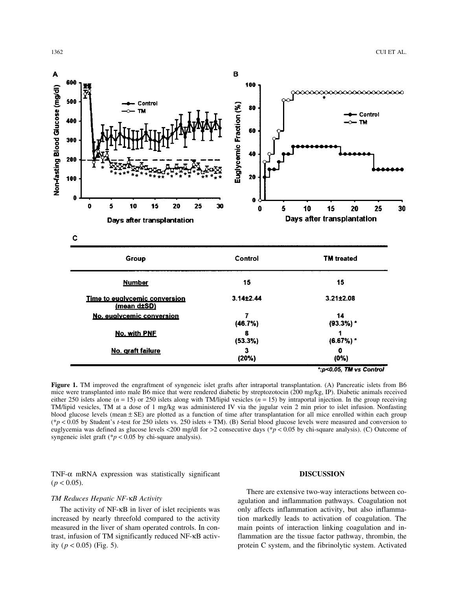

**Figure 1.** TM improved the engraftment of syngeneic islet grafts after intraportal transplantation. (A) Pancreatic islets from B6 mice were transplanted into male B6 mice that were rendered diabetic by streptozotocin (200 mg/kg, IP). Diabetic animals received either 250 islets alone (*n* = 15) or 250 islets along with TM/lipid vesicles (*n* = 15) by intraportal injection. In the group receiving TM/lipid vesicles, TM at a dose of 1 mg/kg was administered IV via the jugular vein 2 min prior to islet infusion. Nonfasting blood glucose levels (mean ± SE) are plotted as a function of time after transplantation for all mice enrolled within each group (\**p* < 0.05 by Student's *t*-test for 250 islets vs. 250 islets + TM). (B) Serial blood glucose levels were measured and conversion to euglycemia was defined as glucose levels <200 mg/dl for >2 consecutive days (\**p* < 0.05 by chi-square analysis). (C) Outcome of syngeneic islet graft ( $p < 0.05$  by chi-square analysis).

TNF-α mRNA expression was statistically significant **DISCUSSION**  $(p < 0.05)$ .

increased by nearly threefold compared to the activity tion markedly leads to activation of coagulation. The measured in the liver of sham operated controls. In con- main points of interaction linking coagulation and intrast, infusion of TM significantly reduced NF-κB activ- flammation are the tissue factor pathway, thrombin, the ity (*p* < 0.05) (Fig. 5). protein C system, and the fibrinolytic system. Activated

TM Reduces Hepatic NF-κ*B* Activity **and Self and inflammation pathways.** Coagulation not **TM Reduces Hepatic NF-κB** Activity The activity of NF-KB in liver of islet recipients was only affects inflammation activity, but also inflamma-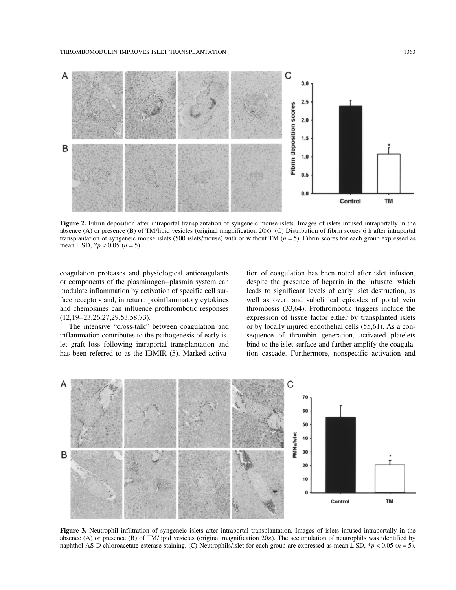### THROMBOMODULIN IMPROVES ISLET TRANSPLANTATION 1363



**Figure 2.** Fibrin deposition after intraportal transplantation of syngeneic mouse islets. Images of islets infused intraportally in the absence (A) or presence (B) of TM/lipid vesicles (original magnification 20×). (C) Distribution of fibrin scores 6 h after intraportal transplantation of syngeneic mouse islets (500 islets/mouse) with or without TM (*n* = 5). Fibrin scores for each group expressed as mean  $\pm$  SD,  $*$ *p* < 0.05 (*n* = 5).

coagulation proteases and physiological anticoagulants tion of coagulation has been noted after islet infusion, or components of the plasminogen–plasmin system can despite the presence of heparin in the infusate, which modulate inflammation by activation of specific cell sur- leads to significant levels of early islet destruction, as face receptors and, in return, proinflammatory cytokines well as overt and subclinical episodes of portal vein and chemokines can influence prothrombotic responses thrombosis (33,64). Prothrombotic triggers include the (12,19–23,26,27,29,53,58,73). expression of tissue factor either by transplanted islets The intensive "cross-talk" between coagulation and or by locally injured endothelial cells (55,61). As a coninflammation contributes to the pathogenesis of early is- sequence of thrombin generation, activated platelets let graft loss following intraportal transplantation and bind to the islet surface and further amplify the coagulahas been referred to as the IBMIR (5). Marked activa-<br>tion cascade. Furthermore, nonspecific activation and



**Figure 3.** Neutrophil infiltration of syngeneic islets after intraportal transplantation. Images of islets infused intraportally in the absence (A) or presence (B) of TM/lipid vesicles (original magnification 20×). The accumulation of neutrophils was identified by naphthol AS-D chloroacetate esterase staining. (C) Neutrophils/islet for each group are expressed as mean ± SD, \**p* < 0.05 (*n* = 5).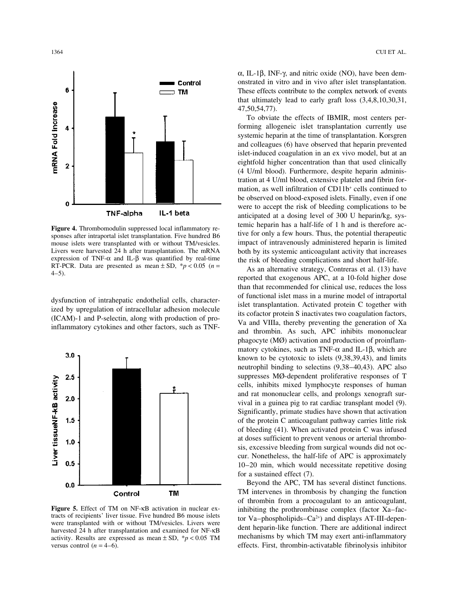

mouse islets were transplanted with or without TM/vesicles. impact of intravenously administered heparin is limited Livers were harvested 24 h after transplantation. The mRNA both by its systemic anticoagulant activity that increases expression of TNF- $\alpha$  and IL- $\beta$  was quantified by real-time the risk of bleeding complications and s expression of TNF-α and IL-β was quantified by real-time<br>RT-PCR. Data are presented as mean ± SD, \*p < 0.05 (n =<br>4-5).<br>As an alternative strategy, Contreras et al. (13) have<br>reported that exogenous APC, at a 10-fold high



activity. Results are expressed as mean  $\pm$  SD, \**p* < 0.05 TM mechanisms by which TM may exert anti-inflammatory

α, IL-1β, INF-γ, and nitric oxide (NO), have been demonstrated in vitro and in vivo after islet transplantation. These effects contribute to the complex network of events that ultimately lead to early graft loss (3,4,8,10,30,31, 47,50,54,77).

To obviate the effects of IBMIR, most centers performing allogeneic islet transplantation currently use systemic heparin at the time of transplantation. Korsgren and colleagues (6) have observed that heparin prevented islet-induced coagulation in an ex vivo model, but at an eightfold higher concentration than that used clinically (4 U/ml blood). Furthermore, despite heparin administration at 4 U/ml blood, extensive platelet and fibrin formation, as well infiltration of CD11b<sup>+</sup> cells continued to be observed on blood-exposed islets. Finally, even if one were to accept the risk of bleeding complications to be anticipated at a dosing level of 300 U heparin/kg, sys-**Figure 4.** Thrombomodulin suppressed local inflammatory returnic heparin has a half-life of 1 h and is therefore acsponses after intraportal islet transplantation. Five hundred B6 tive for only a few hours. Thus, the pote

than that recommended for clinical use, reduces the loss dysfunction of intrahepatic endothelial cells, characterised<br>ized by upregulation of intracellular adhesion molecule<br>(ICAM)-1 and P-selectin, along with production of pro-<br>inflammatory cytokines and other factors, such as phagocyte (MØ) activation and production of proinflammatory cytokines, such as TNF- $\alpha$  and IL-1 $\beta$ , which are known to be cytotoxic to islets (9,38,39,43), and limits neutrophil binding to selectins (9,38–40,43). APC also suppresses MØ-dependent proliferative responses of T cells, inhibits mixed lymphocyte responses of human and rat mononuclear cells, and prolongs xenograft survival in a guinea pig to rat cardiac transplant model (9). Significantly, primate studies have shown that activation of the protein C anticoagulant pathway carries little risk of bleeding (41). When activated protein C was infused at doses sufficient to prevent venous or arterial thrombosis, excessive bleeding from surgical wounds did not occur. Nonetheless, the half-life of APC is approximately 10–20 min, which would necessitate repetitive dosing for a sustained effect (7).

Beyond the APC, TM has several distinct functions. TM intervenes in thrombosis by changing the function of thrombin from a procoagulant to an anticoagulant, **Figure 5.** Effect of TM on NF-KB activation in nuclear ex-<br>tracts of recipients' liver tissue. Five hundred B6 mouse islets<br>were transplanted with or without TM/vesicles. Livers were<br>harvested 24 h after transplantation versus control (*n* = 4–6). effects. First, thrombin-activatable fibrinolysis inhibitor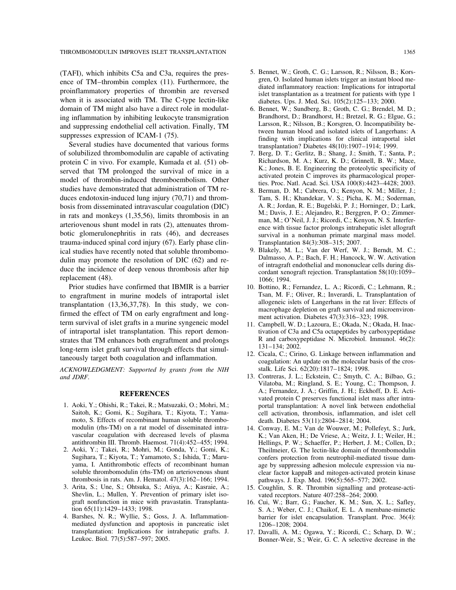domain of TM might also have a direct role in modulat-<br>in the sense, B.; Groth, C. G.; Brendel, M. D.; in the inflammation by inhibiting leukocyte transmigration Brandhorst, D.; Brandhorst, H.; Bretzel, R. G.; Elgue, G.;

of solubilized thrombomodulin are capable of activating 7. Berg, D. T.; Gerlitz, B.; Shang, J.; Smith, T.; Santa, P.; protein C in vivo. For example, Kumada et al. (51) ob-<br>
Richardson, M. A.; Kurz, K. D.; Grinnell, B. W.; Mace,<br>
K.; Jones, B. E. Engineering the proteolytic specificity of served that TM prolonged the survival of mice in a<br>model of thrombin-induced thromboembolism. Other<br>studies have demonstrated that administration of TM re-<br>studies have demonstrated that administration of TM re-<br>8. Berman, duces endotoxin-induced lung injury (70,71) and throm- Tam, S. H.; Khandekar, V. S.; Picha, K. M.; Soderman, bosis from disseminated intravascular coagulation (DIC) <br>
A. R.; Jordan, R. E.; Bugelski, P. J.; Horninger, D.; Lark,<br>
M.; Davis, J. E.; Alejandro, R.; Berggren, P. O.; Zimmerin rats and monkeys (1,35,56), limits thrombosis in an<br>arteriovenous shunt model in rats (2), attenuates throm-<br>botic glomerulonephritis in rats (46), and decreases<br>botic glomerulonephritis in rats (46), and decreases trauma-induced spinal cord injury (67). Early phase clin-<br>
ical studies have recently noted that soluble thrombomo-<br>
9. Blakely, M. L.; Van der Werf, W. J.; Berndt, M. C.;

Prior studies have confirmed that IBMIR is a barrier 10. Bottino, R.; Fernandez, L. A.; Ricordi, C.; Lehmann, R.; engraftment in murine models of intraportal islet Tsan, M. F.; Oliver, R.; Inverardi, L. Transplantation of to engraftment in murine models of intraportal islet<br>transplantation (13,36,37,78). In this study, we con-<br>firmed the effect of TM on early engraftment and long-<br>term survival of islet grafts in a murine syngeneic model<br>te of intraportal islet transplantation. This report demon- tivation of C3a and C5a octapeptides by carboxypeptidase strates that TM enhances both engraftment and prolongs<br>
long-term islet graft survival through effects that simul-<br>
taneously target both coagulation and inflammation.<br>
12. Cicala, C.; Cirino, G. Linkage between inflammati

*ACKNOWLEDGMENT: Supported by grants from the NIH* stalk. Life Sci. 62(20):1817–1824; 1998. *and JDRF*. 13. Contreras, J. L.; Eckstein, C.; Smyth, C. A.; Bilbao, G.;

- moto, S. Effects of recombinant human soluble thrombo-<br>modulin (rhs-TM) on a rat model of disseminated intra-<br>14. Conway, E. M.: Van de Wouwer, M.: Po
- 
- thrombosis in rats. Am. J. Hematol. 47(3):162–166; 1994. pathways. J. Exp. Med. 196(5):565–577; 2002.<br>3. Arita, S.; Une, S.; Ohtsuka, S.; Atiya, A.; Kasraie, A.; 15. Coughlin, S. R. Thrombin signalling and pro Shevlin, L.; Mullen, Y. Prevention of primary islet iso-<br>graft nonfunction in mice with pravastatin. Transplanta-<br>16. Cui. W.: Barr. G.: Faucher. K. M.: Sun. 2 graft nonfunction in mice with pravastatin. Transplanta-<br>
16. Cui, W.; Barr, G.; Faucher, K. M.; Sun, X. L.; Safley,<br>
5. A.: Weber, C. J.: Chaikof. E. L. A membane-mimetic
- mediated dysfunction and apoptosis in pancreatic islet 1206–1208; 2004.<br>transplantation: Implications for intrahepatic grafts. J. 17. Davalli, A. M.: O transplantation: Implications for intrahepatic grafts. J. 17. Davalli, A. M.; Ogawa, Y.; Ricordi, C.; Scharp, D. W.; Leukoc. Biol. 77(5):587–597; 2005. <br>Bonner-Weir, S.: Weir, G. C. A selective decrease in the
- (TAFI), which inhibits C5a and C3a, requires the pres-<br>ence of TM–thrombin complex (11). Furthermore, the<br>proinflammatory properties of thrombin are reversed<br>when it is associated with TM. The C-type lectin-like<br>when it is
- ing inflammation by inhibiting leukocyte transmigration<br>and suppressing endothelial cell activation. Finally, TM<br>suppresses expression of ICAM-1 (75).<br>Several studies have documented that various forms transplantation? Dia
	-
	-
- ical studies have recently noted that soluble thrombomo-<br>dulin may promote the resolution of DIC (62) and re-<br>duce the incidence of deep venous thrombosis after hip<br>replacement (48). The state of the solution of DIC (62) a
	-
	-
	-
- Vilatoba, M.; Ringland, S. E.; Young, C.; Thompson, J. **REFERENCES**<br>A.; Fernandez, J. A.; Griffin, J. H.; Eckhoff, D. E. Acti-<br>ated protein C preserves functional islet mass after intra-<br>portal transplantation: A novel link between endothelial 1. Aoki, Y.; Ohishi, R.; Takei, R.; Matsuzaki, O.; Mohri, M.; portal transplantation: A novel link between endothelial cell activation, thrombosis, inflammation, and islet cell
- modulin (rhs-TM) on a rat model of disseminated intra-<br>vascular coagulation with decreased levels of plasma K.: Van Aken, H.: De Vriese, A.: Weitz, J. L.: Weiler, H. vascular coagulation with decreased levels of plasma K.; Van Aken, H.; De Vriese, A.; Weitz, J. I.; Weiler, H.; antithrombin III. Thromb. Haemost. 71(4):452–455; 1994. Hellings, P. W.: Schaeffer, P.: Herbert, J. M.: Collen Hellings, P. W.; Schaeffer, P.; Herbert, J. M.; Collen, D.; 2. Aoki, Y.; Takei, R.; Mohri, M.; Gonda, Y.; Gomi, K.; Theilmeier, G. The lectin-like domain of thrombomodulin Sugihara, T.; Kiyota, T.; Yamamoto, S.; Ishida, T.; Maru-<br>confers protection from neutrophil-mediated tissue d Sugihara, T.; Kiyota, T.; Yamamoto, S.; Ishida, T.; Maru-<br>
yama, I. Antithrombotic effects of recombinant human<br>
age by suppressing adhesion molecule expression via nuyama, I. Antithrombotic effects of recombinant human age by suppressing adhesion molecule expression via nu-<br>soluble thrombomodulin (rhs-TM) on arteriovenous shunt clear factor kappaB and mitogen-activated protein kinase clear factor kappaB and mitogen-activated protein kinase
	- 15. Coughlin, S. R. Thrombin signalling and protease-acti-
- S. A.; Weber, C. J.; Chaikof, E. L. A membane-mimetic 4. Barshes, N. R.; Wyllie, S.; Goss, J. A. Inflammation- barrier for islet encapsulation. Transplant. Proc. 36(4):
	- Bonner-Weir, S.; Weir, G. C. A selective decrease in the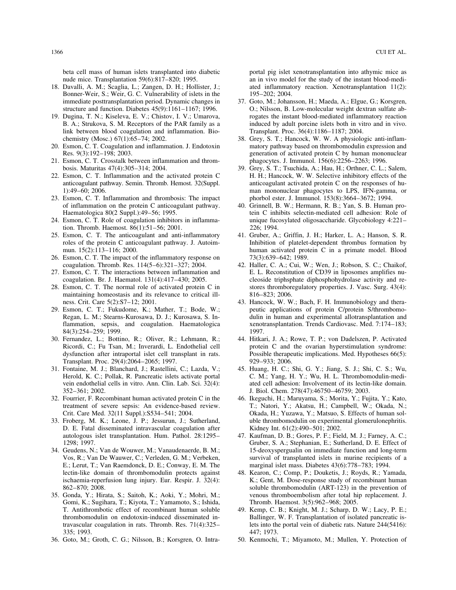beta cell mass of human islets transplanted into diabetic portal pig islet xenotransplantation into athymic mice as nude mice. Transplantation 59(6):817–820; 1995. an in vivo model for the study of the instant blood-medi-

- Bonner-Weir, S.; Weir, G. C. Vulnerability of islets in the immediate posttransplantation period. Dynamic changes in 37. Goto, M.; Johansson, H.; Maeda, A.; Elgue, G.; Korsgren,
- link between blood coagulation and inflammation. Bio- Transplant. Proc. 36(4):1186–1187; 2004. chemistry (Mosc.) 67(1):65–74; 2002. 38. Grey, S. T.; Hancock, W. W. A physiologic anti-inflam-
- 
- 
- 22. Esmon, C. T. Inflammation and the activated protein C
- 23. Esmon, C. T. Inflammation and thrombosis: The impact phorbol ester. J. Immunol. 153(8):3664–3672; 1994.
- tion. Thromb. Haemost. 86(1):51–56; 2001. 226; 1994.
- 25. Esmon, C. T. The anticoagulant and anti-inflammatory 41. Gruber, A.; Griffin, J. H.; Harker, L. A.; Hanson, S. R.
- 26. Esmon, C. T. The impact of the inflammatory response on coagulation. Thromb. Res. 114(5–6):321–327; 2004. 42. Haller, C. A.; Cui, W.; Wen, J.; Robson, S. C.; Chaikof,
- 
- maintaining homeostasis and its relevance to critical ill-<br>816–823; 2006.
- 84(3):254–259; 1999. 1997.
- Transplant. Proc. 29(4):2064–2065; 1997. 929–933; 2006.
- 31. Fontaine, M. J.; Blanchard, J.; Rastellini, C.; Lazda, V.; 45. Huang, H. C.; Shi, G. Y.; Jiang, S. J.; Shi, C. S.; Wu, 352–361; 2002. J. Biol. Chem. 278(47):46750–46759; 2003.
- 32. Fourrier, F. Recombinant human activated protein C in the 46. Ikeguchi, H.; Maruyama, S.; Morita, Y.; Fujita, Y.; Kato,
- D. E. Fatal disseminated intravascular coagulation after Kidney Int. 61(2):490–501; 2002.
- E.; Lerut, T.; Van Raemdonck, D. E.; Conway, E. M. The marginal islet mass. Diabetes 43(6):778–783; 1994. lectin-like domain of thrombomodulin protects against 48. Kearon, C.; Comp, P.; Douketis, J.; Royds, R.; Yamada,
- 35. Gonda, Y.; Hirata, S.; Saitoh, K.; Aoki, Y.; Mohri, M.; venous thromboembolism after total hip replacement. J. Gomi, K.; Sugihara, T.; Kiyota, T.; Yamamoto, S.; Ishida, Thromb. Haemost. 3(5):962–968; 2005.<br>T. Antithrombotic effect of recombinant human soluble 49. Kemp, C. B.; Knight, M. J.; Scharp, D. 335; 1993. 447; 1973.
- 36. Goto, M.; Groth, C. G.; Nilsson, B.; Korsgren, O. Intra- 50. Kenmochi, T.; Miyamoto, M.; Mullen, Y. Protection of

18. Davalli, A. M.; Scaglia, L.; Zangen, D. H.; Hollister, J.; ated inflammatory reaction. Xenotransplantation 11(2): Bonner-Weir, S.; Weir, G. C. Vulnerability of islets in the 195-202; 2004.

- structure and function. Diabetes 45(9):1161–1167; 1996. O.; Nilsson, B. Low-molecular weight dextran sulfate ab-19. Dugina, T. N.; Kiseleva, E. V.; Chistov, I. V.; Umarova, rogates the instant blood-mediated inflammatory reaction B. A.; Strukova, S. M. Receptors of the PAR family as a induced by adult porcine islets both in vitro and in vivo.
- 20. Esmon, C. T. Coagulation and inflammation. J. Endotoxin matory pathway based on thrombomodulin expression and Res. 9(3):192–198; 2003. generation of activated protein C by human mononuclear 21. Esmon, C. T. Crosstalk between inflammation and throm- phagocytes. J. Immunol. 156(6):2256–2263; 1996.
	- bosis. Maturitas 47(4):305–314; 2004. 39. Grey, S. T.; Tsuchida, A.; Hau, H.; Orthner, C. L.; Salem, Esmon, C. T. Inflammation and the activated protein C H. H.; Hancock, W. W. Selective inhibitory effects of the anticoagulant pathway. Semin. Thromb. Hemost. 32(Suppl. anticoagulant activated protein C on the responses of hu-1):49–60; 2006. man mononuclear phagocytes to LPS, IFN-gamma, or
- of inflammation on the protein C anticoagulant pathway. 40. Grinnell, B. W.; Hermann, R. B.; Yan, S. B. Human pro-<br>Haematologica 80(2 Suppl.):49–56; 1995. 40. Grinnell, B. W.; Hermann, R. B.; Yan, S. B. Human pro-<br>tein C i tein C inhibits selectin-mediated cell adhesion: Role of 24. Esmon, C. T. Role of coagulation inhibitors in inflamma- unique fucosylated oligosaccharide. Glycobiology 4:221–
	- roles of the protein C anticoagulant pathway. J. Autoim- Inhibition of platelet-dependent thrombus formation by mun. 15(2):113–116; 2000. human activated protein C in a primate model. Blood Esmon, C. T. The impact of the inflammatory response on  $73(3)$ :639–642; 1989.
- 27. Esmon, C. T. The interactions between inflammation and E. L. Reconstitution of CD39 in liposomes amplifies nucoagulation. Br. J. Haematol. 131(4):417–430; 2005. cleoside triphsphate diphosphohydrolase activity and re-28. Esmon, C. T. The normal role of activated protein C in stores thromboregulatory properties. J. Vasc. Surg. 43(4):
- ness. Crit. Care 5(2): S7-12; 2001. 43. Hancock, W. W.; Bach, F. H. Immunobiology and thera-29. Esmon, C. T.; Fukudome, K.; Mather, T.; Bode, W.; peutic applications of protein C/protein S/thrombomo-Regan, L. M.; Stearns-Kurosawa, D. J.; Kurosawa, S. In- dulin in human and experimental allotransplantation and flammation, sepsis, and coagulation. Haematologica xenotransplantation. Trends Cardiovasc. Med. 7:174–183;
- 30. Fernandez, L.; Bottino, R.; Oliver, R.; Lehmann, R.; 44. Hitkari, J. A.; Rowe, T. P.; von Dadelszen, P. Activated Ricordi, C.; Fu Tsan, M.; Inverardi, L. Endothelial cell protein C and the ovarian hyperstimulation syndrome:<br>dysfunction after intraportal islet cell transplant in rats. Possible therapeutic implications. Med. Hypotheses Possible therapeutic implications. Med. Hypotheses 66(5):
	- Herold, K. C.; Pollak, R. Pancreatic islets activate portal C. M.; Yang, H. Y.; Wu, H. L. Thrombomodulin-medivein endothelial cells in vitro. Ann. Clin. Lab. Sci. 32(4): ated cell adhesion: Involvement of its lectin-like domain.
- treatment of severe sepsis: An evidence-based review. T.; Natori, Y.; Akatsu, H.; Campbell, W.; Okada, N.; Crit. Care Med. 32(11 Suppl.):S534-541; 2004. Okada, H.; Yuzawa, Y.; Matsuo, S. Effects of human sol-Okada, H.; Yuzawa, Y.; Matsuo, S. Effects of human sol-33. Froberg, M. K.; Leone, J. P.; Jessurun, J.; Sutherland, uble thrombomodulin on experimental glomerulonephritis.
- autologous islet transplantation. Hum. Pathol. 28:1295– 47. Kaufman, D. B.; Gores, P. F.; Field, M. J.; Farney, A. C.; 1298; 1997. Gruber, S. A.; Stephanian, E.; Sutherland, D. E. Effect of 34. Geudens, N.; Van de Wouwer, M.; Vanaudenaerde, B. M.; 15-deoxyspergualin on immediate function and long-term<br>Vos, R.; Van De Wauwer, C.; Verleden, G. M.; Verbeken, survival of transplanted islets in murine recipients o survival of transplanted islets in murine recipients of a
	- ischaemia-reperfusion lung injury. Eur. Respir. J. 32(4): K.; Gent, M. Dose-response study of recombinant human 862–870; 2008. soluble thrombomodulin (ART-123) in the prevention of
	- 49. Kemp, C. B.; Knight, M. J.; Scharp, D. W.; Lacy, P. E.; thrombomodulin on endotoxin-induced disseminated in- Ballinger, W. F. Transplantation of isolated pancreatic istravascular coagulation in rats. Thromb. Res. 71(4):325– lets into the portal vein of diabetic rats. Nature 244(5416):
		-